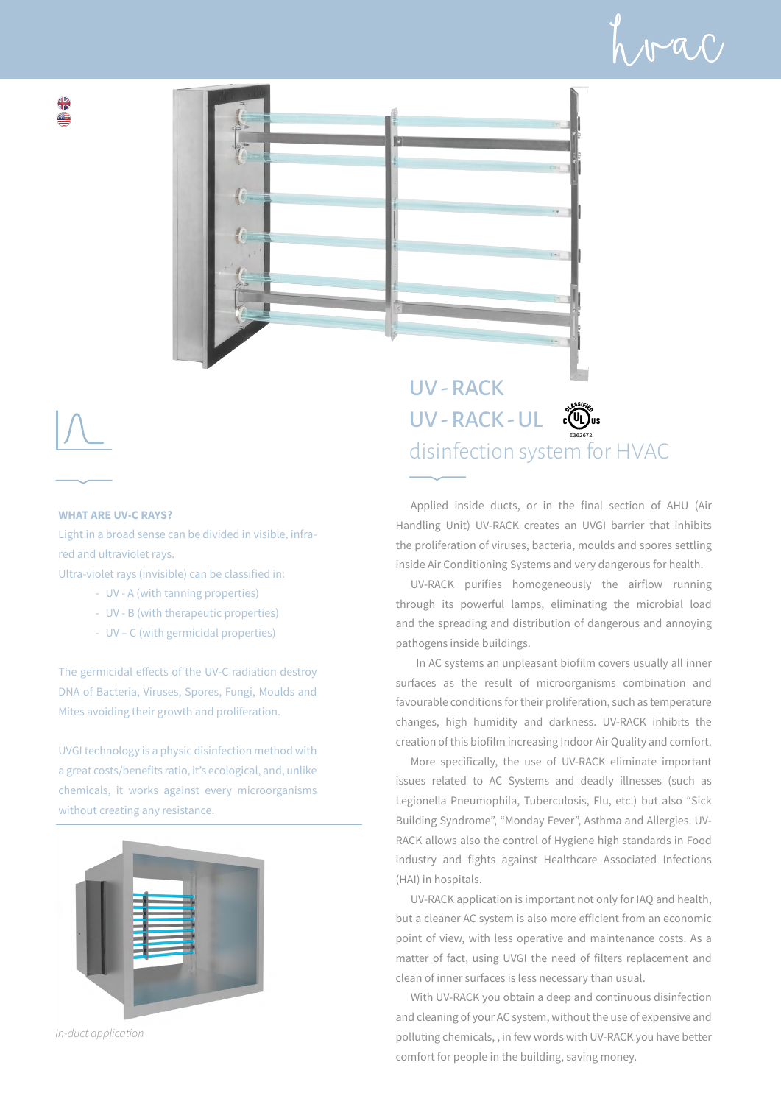



## **WHAT ARE UV-C RAYS?**

Light in a broad sense can be divided in visible, infrared and ultraviolet rays.

Ultra-violet rays (invisible) can be classified in:

- UV A (with tanning properties)
- UV B (with therapeutic properties)
- UV C (with germicidal properties)

The germicidal effects of the UV-C radiation destroy DNA of Bacteria, Viruses, Spores, Fungi, Moulds and Mites avoiding their growth and proliferation.

UVGI technology is a physic disinfection method with a great costs/benefits ratio, it's ecological, and, unlike chemicals, it works against every microorganisms without creating any resistance.



*In-duct application*

UV - RACK UV - RACK - UL COU disinfection system for HVAC E362672

Applied inside ducts, or in the final section of AHU (Air Handling Unit) UV-RACK creates an UVGI barrier that inhibits the proliferation of viruses, bacteria, moulds and spores settling inside Air Conditioning Systems and very dangerous for health.

UV-RACK purifies homogeneously the airflow running through its powerful lamps, eliminating the microbial load and the spreading and distribution of dangerous and annoying pathogens inside buildings.

 In AC systems an unpleasant biofilm covers usually all inner surfaces as the result of microorganisms combination and favourable conditions for their proliferation, such as temperature changes, high humidity and darkness. UV-RACK inhibits the creation of this biofilm increasing Indoor Air Quality and comfort.

More specifically, the use of UV-RACK eliminate important issues related to AC Systems and deadly illnesses (such as Legionella Pneumophila, Tuberculosis, Flu, etc.) but also "Sick Building Syndrome", "Monday Fever", Asthma and Allergies. UV-RACK allows also the control of Hygiene high standards in Food industry and fights against Healthcare Associated Infections (HAI) in hospitals.

UV-RACK application is important not only for IAQ and health, but a cleaner AC system is also more efficient from an economic point of view, with less operative and maintenance costs. As a matter of fact, using UVGI the need of filters replacement and clean of inner surfaces is less necessary than usual.

With UV-RACK you obtain a deep and continuous disinfection and cleaning of your AC system, without the use of expensive and polluting chemicals, , in few words with UV-RACK you have better comfort for people in the building, saving money.